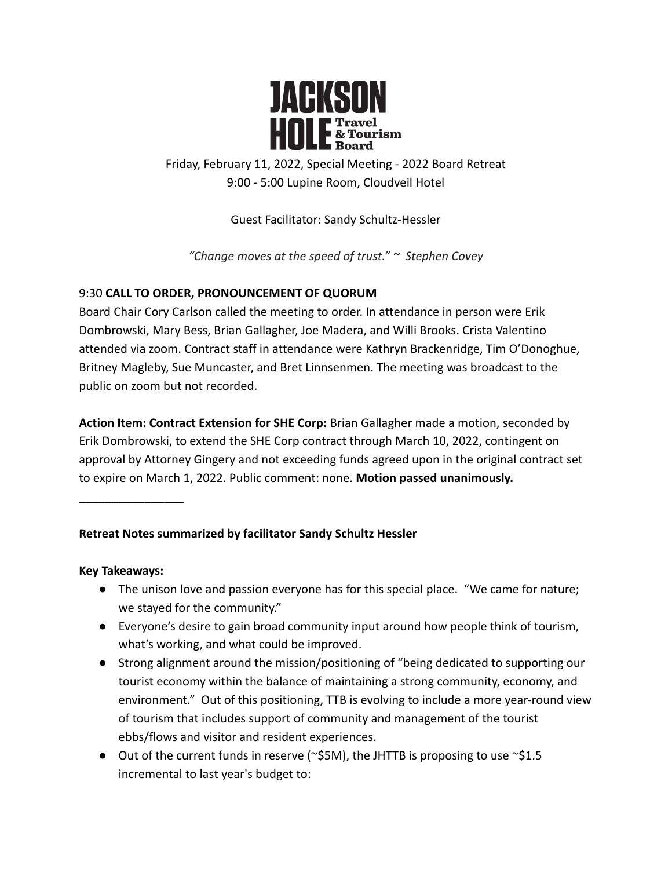

Friday, February 11, 2022, Special Meeting - 2022 Board Retreat 9:00 - 5:00 Lupine Room, Cloudveil Hotel

Guest Facilitator: Sandy Schultz-Hessler

*"Change moves at the speed of trust." ~ Stephen Covey*

## 9:30 **CALL TO ORDER, PRONOUNCEMENT OF QUORUM**

Board Chair Cory Carlson called the meeting to order. In attendance in person were Erik Dombrowski, Mary Bess, Brian Gallagher, Joe Madera, and Willi Brooks. Crista Valentino attended via zoom. Contract staff in attendance were Kathryn Brackenridge, Tim O'Donoghue, Britney Magleby, Sue Muncaster, and Bret Linnsenmen. The meeting was broadcast to the public on zoom but not recorded.

**Action Item: Contract Extension for SHE Corp:** Brian Gallagher made a motion, seconded by Erik Dombrowski, to extend the SHE Corp contract through March 10, 2022, contingent on approval by Attorney Gingery and not exceeding funds agreed upon in the original contract set to expire on March 1, 2022. Public comment: none. **Motion passed unanimously.**

\_\_\_\_\_\_\_\_\_\_\_\_\_\_\_\_

### **Retreat Notes summarized by facilitator Sandy Schultz Hessler**

### **Key Takeaways:**

- The unison love and passion everyone has for this special place. "We came for nature; we stayed for the community."
- Everyone's desire to gain broad community input around how people think of tourism, what's working, and what could be improved.
- Strong alignment around the mission/positioning of "being dedicated to supporting our tourist economy within the balance of maintaining a strong community, economy, and environment." Out of this positioning, TTB is evolving to include a more year-round view of tourism that includes support of community and management of the tourist ebbs/flows and visitor and resident experiences.
- Out of the current funds in reserve ( $\sim$ \$5M), the JHTTB is proposing to use  $\sim$ \$1.5 incremental to last year's budget to: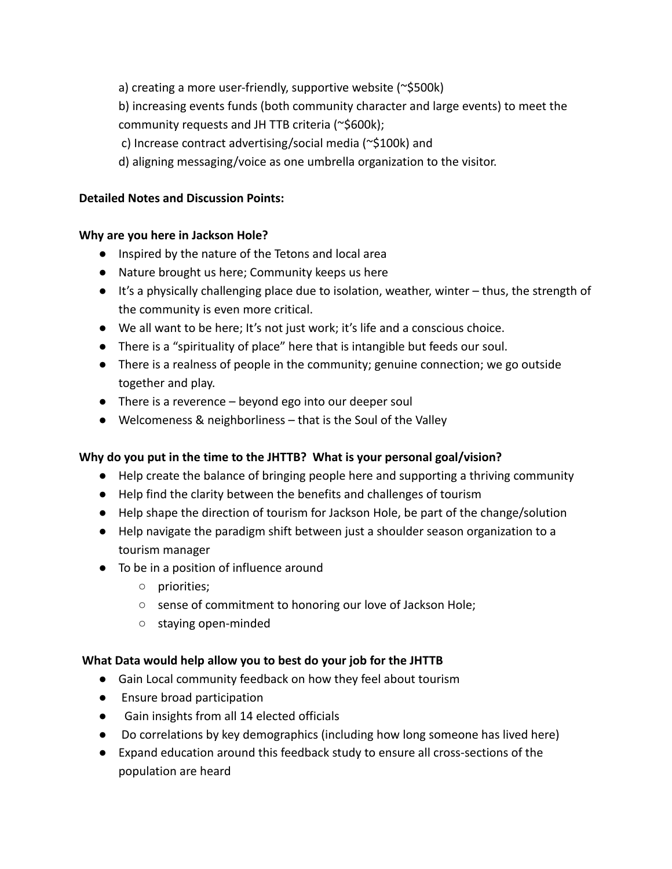a) creating a more user-friendly, supportive website (~\$500k)

b) increasing events funds (both community character and large events) to meet the

community requests and JH TTB criteria (~\$600k);

- c) Increase contract advertising/social media (~\$100k) and
- d) aligning messaging/voice as one umbrella organization to the visitor.

### **Detailed Notes and Discussion Points:**

### **Why are you here in Jackson Hole?**

- Inspired by the nature of the Tetons and local area
- Nature brought us here; Community keeps us here
- It's a physically challenging place due to isolation, weather, winter thus, the strength of the community is even more critical.
- We all want to be here; It's not just work; it's life and a conscious choice.
- There is a "spirituality of place" here that is intangible but feeds our soul.
- There is a realness of people in the community; genuine connection; we go outside together and play.
- There is a reverence beyond ego into our deeper soul
- Welcomeness & neighborliness that is the Soul of the Valley

# **Why do you put in the time to the JHTTB? What is your personal goal/vision?**

- Help create the balance of bringing people here and supporting a thriving community
- Help find the clarity between the benefits and challenges of tourism
- Help shape the direction of tourism for Jackson Hole, be part of the change/solution
- Help navigate the paradigm shift between just a shoulder season organization to a tourism manager
- To be in a position of influence around
	- priorities;
	- sense of commitment to honoring our love of Jackson Hole;
	- staying open-minded

# **What Data would help allow you to best do your job for the JHTTB**

- Gain Local community feedback on how they feel about tourism
- Ensure broad participation
- Gain insights from all 14 elected officials
- Do correlations by key demographics (including how long someone has lived here)
- Expand education around this feedback study to ensure all cross-sections of the population are heard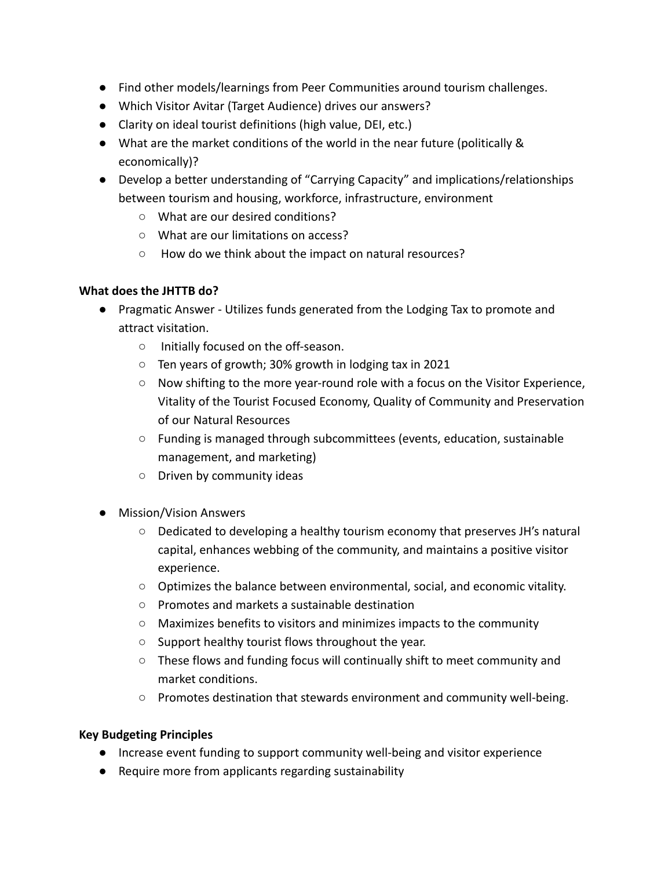- Find other models/learnings from Peer Communities around tourism challenges.
- Which Visitor Avitar (Target Audience) drives our answers?
- Clarity on ideal tourist definitions (high value, DEI, etc.)
- What are the market conditions of the world in the near future (politically & economically)?
- Develop a better understanding of "Carrying Capacity" and implications/relationships between tourism and housing, workforce, infrastructure, environment
	- What are our desired conditions?
	- What are our limitations on access?
	- How do we think about the impact on natural resources?

### **What does the JHTTB do?**

- Pragmatic Answer Utilizes funds generated from the Lodging Tax to promote and attract visitation.
	- Initially focused on the off-season.
	- Ten years of growth; 30% growth in lodging tax in 2021
	- Now shifting to the more year-round role with a focus on the Visitor Experience, Vitality of the Tourist Focused Economy, Quality of Community and Preservation of our Natural Resources
	- Funding is managed through subcommittees (events, education, sustainable management, and marketing)
	- Driven by community ideas
- Mission/Vision Answers
	- Dedicated to developing a healthy tourism economy that preserves JH's natural capital, enhances webbing of the community, and maintains a positive visitor experience.
	- Optimizes the balance between environmental, social, and economic vitality.
	- Promotes and markets a sustainable destination
	- Maximizes benefits to visitors and minimizes impacts to the community
	- Support healthy tourist flows throughout the year.
	- These flows and funding focus will continually shift to meet community and market conditions.
	- Promotes destination that stewards environment and community well-being.

### **Key Budgeting Principles**

- Increase event funding to support community well-being and visitor experience
- Require more from applicants regarding sustainability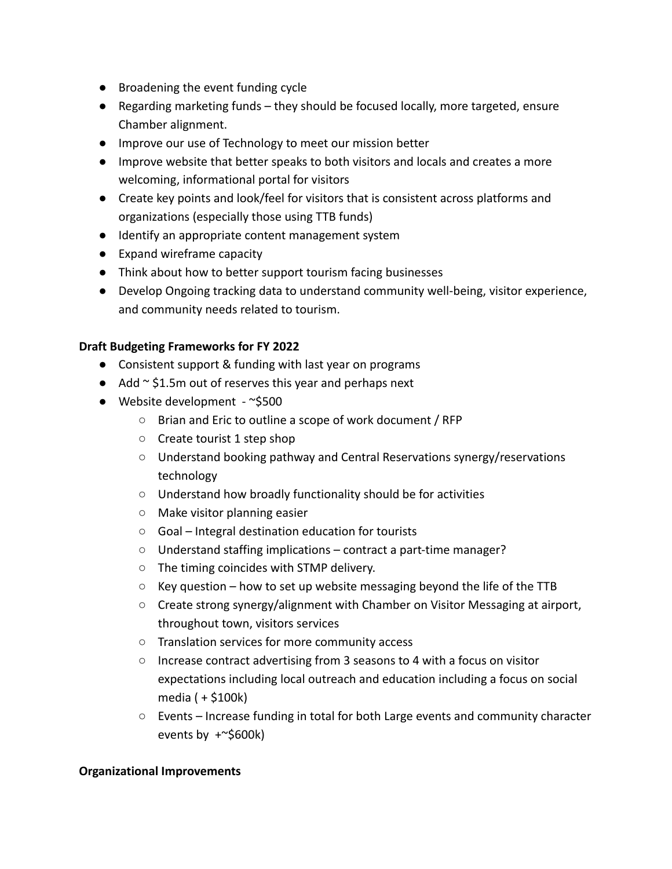- Broadening the event funding cycle
- Regarding marketing funds they should be focused locally, more targeted, ensure Chamber alignment.
- Improve our use of Technology to meet our mission better
- Improve website that better speaks to both visitors and locals and creates a more welcoming, informational portal for visitors
- Create key points and look/feel for visitors that is consistent across platforms and organizations (especially those using TTB funds)
- Identify an appropriate content management system
- Expand wireframe capacity
- Think about how to better support tourism facing businesses
- Develop Ongoing tracking data to understand community well-being, visitor experience, and community needs related to tourism.

#### **Draft Budgeting Frameworks for FY 2022**

- Consistent support & funding with last year on programs
- $\bullet$  Add  $\sim$  \$1.5m out of reserves this year and perhaps next
- $\bullet$  Website development ~\$500
	- Brian and Eric to outline a scope of work document / RFP
	- Create tourist 1 step shop
	- Understand booking pathway and Central Reservations synergy/reservations technology
	- Understand how broadly functionality should be for activities
	- Make visitor planning easier
	- Goal Integral destination education for tourists
	- Understand staffing implications contract a part-time manager?
	- The timing coincides with STMP delivery.
	- $\circ$  Key question how to set up website messaging beyond the life of the TTB
	- Create strong synergy/alignment with Chamber on Visitor Messaging at airport, throughout town, visitors services
	- Translation services for more community access
	- Increase contract advertising from 3 seasons to 4 with a focus on visitor expectations including local outreach and education including a focus on social media ( + \$100k)
	- $\circ$  Events Increase funding in total for both Large events and community character events by  $+$   $\approx$  \$600k)

#### **Organizational Improvements**